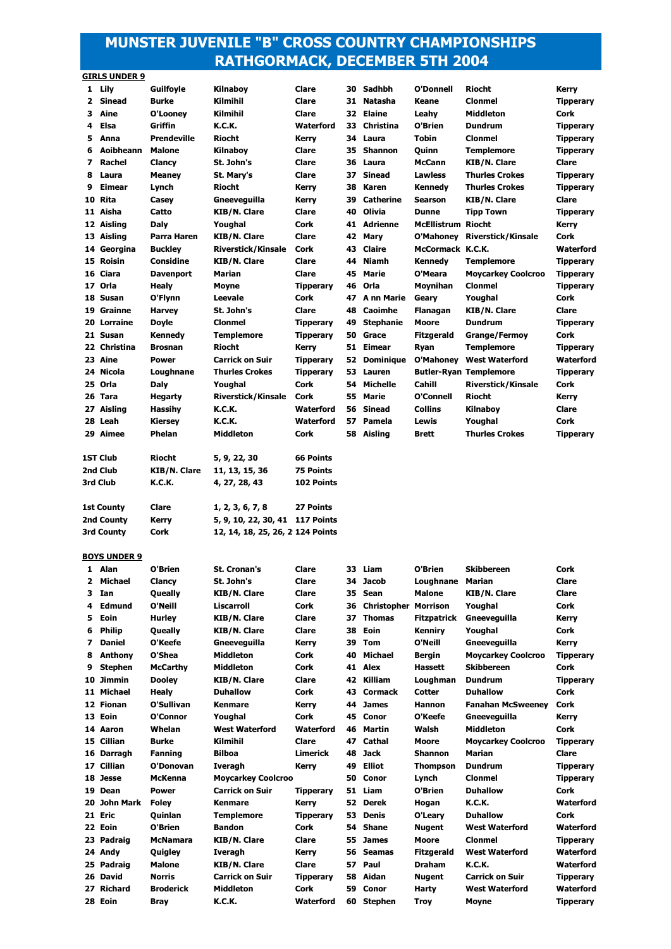# **MUNSTER JUVENILE "B" CROSS COUNTRY CHAMPIONSHIPS RATHGORMACK, DECEMBER 5TH 2004**

|              | <b>GIRLS UNDER 9</b> |                    |                           |                  |    |                  |                    |                           |                  |
|--------------|----------------------|--------------------|---------------------------|------------------|----|------------------|--------------------|---------------------------|------------------|
|              | 1 Lily               | <b>Guilfoyle</b>   | <b>Kilnabov</b>           | Clare            | 30 | Sadhbh           | O'Donnell          | <b>Riocht</b>             | Kerry            |
| $\mathbf{2}$ | <b>Sinead</b>        | <b>Burke</b>       | Kilmihil                  | Clare            | 31 | <b>Natasha</b>   | Keane              | <b>Clonmel</b>            | <b>Tipperary</b> |
| 3            | Aine                 | O'Looney           | Kilmihil                  | Clare            | 32 | Elaine           | Leahv              | <b>Middleton</b>          | Cork             |
| 4            | Elsa                 | Griffin            | <b>K.C.K.</b>             | Waterford        | 33 | Christina        | O'Brien            | <b>Dundrum</b>            | <b>Tipperary</b> |
| 5            | Anna                 | <b>Prendeville</b> | <b>Riocht</b>             | Kerry            | 34 | Laura            | <b>Tobin</b>       | <b>Clonmel</b>            | <b>Tipperary</b> |
| 6            | Aoibheann            | <b>Malone</b>      | <b>Kilnabov</b>           | Clare            | 35 | <b>Shannon</b>   | Ouinn              | Templemore                | <b>Tipperary</b> |
| 7            | Rachel               | <b>Clancy</b>      | St. John's                | Clare            | 36 | Laura            | <b>McCann</b>      | <b>KIB/N. Clare</b>       | Clare            |
| 8            | Laura                | <b>Meanev</b>      | St. Mary's                | Clare            | 37 | <b>Sinead</b>    | <b>Lawless</b>     | <b>Thurles Crokes</b>     | <b>Tipperary</b> |
| 9            | Eimear               | Lynch              | <b>Riocht</b>             | <b>Kerry</b>     | 38 | Karen            | Kennedy            | <b>Thurles Crokes</b>     | <b>Tipperary</b> |
| 10           | Rita                 | Casev              | Gneeveguilla              | <b>Kerry</b>     | 39 | <b>Catherine</b> | <b>Searson</b>     | <b>KIB/N. Clare</b>       | Clare            |
|              | 11 Aisha             | Catto              | <b>KIB/N. Clare</b>       | Clare            | 40 | Olivia           | <b>Dunne</b>       | <b>Tipp Town</b>          | <b>Tipperary</b> |
|              | 12 Aisling           | Daly               | Youghal                   | Cork             | 41 | <b>Adrienne</b>  | <b>McEllistrum</b> | Riocht                    | Kerry            |
| 13           | Aisling              | Parra Haren        | <b>KIB/N. Clare</b>       | Clare            | 42 | Mary             | O'Mahoney          | <b>Riverstick/Kinsale</b> | Cork             |
| 14           | Georgina             | <b>Buckley</b>     | <b>Riverstick/Kinsale</b> | Cork             | 43 | Claire           | McCormack K.C.K.   |                           | Waterford        |
| 15           | <b>Roisin</b>        | Considine          | <b>KIB/N. Clare</b>       | Clare            | 44 | <b>Niamh</b>     | Kennedy            | <b>Templemore</b>         | <b>Tipperary</b> |
| 16           | Ciara                | <b>Davenport</b>   | Marian                    | Clare            | 45 | Marie            | O'Meara            | <b>Moycarkey Coolcroo</b> | <b>Tipperary</b> |
| 17           | Orla                 | Healy              | <b>Movne</b>              | <b>Tipperary</b> | 46 | Orla             | <b>Movnihan</b>    | <b>Clonmel</b>            | <b>Tipperary</b> |
|              | 18 Susan             | O'Flynn            | Leevale                   | Cork             | 47 | A nn Marie       | Geary              | Youghal                   | Cork             |
| 19           | Grainne              | <b>Harvey</b>      | St. John's                | Clare            | 48 | Caoimhe          | Flanagan           | <b>KIB/N. Clare</b>       | Clare            |
|              | 20 Lorraine          | <b>Doyle</b>       | <b>Clonmel</b>            | <b>Tipperary</b> | 49 | <b>Stephanie</b> | Moore              | <b>Dundrum</b>            | <b>Tipperary</b> |
|              | 21 Susan             | Kennedv            | <b>Templemore</b>         | <b>Tipperary</b> | 50 | Grace            | <b>Fitzgerald</b>  | <b>Grange/Fermoy</b>      | Cork             |
| 22           | Christina            | <b>Brosnan</b>     | <b>Riocht</b>             | <b>Kerry</b>     | 51 | Eimear           | Ryan               | Templemore                | <b>Tipperary</b> |
|              | 23 Aine              | <b>Power</b>       | <b>Carrick on Suir</b>    | <b>Tipperary</b> | 52 | <b>Dominique</b> | O'Mahoney          | <b>West Waterford</b>     | Waterford        |

 **Nicola Loughnane Thurles Crokes Tipperary 53 Lauren Butler-Ryan Templemore Tipperary Orla Daly Youghal Cork 54 Michelle Cahill Riverstick/Kinsale Cork Tara Hegarty Riverstick/Kinsale Cork 55 Marie O'Connell Riocht Kerry Aisling Hassihy K.C.K. Waterford 56 Sinead Collins Kilnaboy Clare Leah Kiersey K.C.K. Waterford 57 Pamela Lewis Youghal Cork Aimee Phelan Middleton Cork 58 Aisling Brett Thurles Crokes Tipperary**

| <b>BOYS UNDER 9</b> |  |  |
|---------------------|--|--|
|                     |  |  |

**1ST Club Riocht 5, 9, 22, 30 66 Points 2nd Club KIB/N. Clare 11, 13, 15, 36 75 Points 3rd Club K.C.K. 4, 27, 28, 43 102 Points**

**1st County Clare 1, 2, 3, 6, 7, 8 27 Points 2nd County Kerry 5, 9, 10, 22, 30, 41 117 Points** 3rd County **Cork 12, 14, 18, 25, 26, 29124 Points** 

|    | 1 Alan         | O'Brien          | <b>St. Cronan's</b>       | Clare            | 33 | Liam                        | O'Brien           | <b>Skibbereen</b>         | <b>Cork</b>      |
|----|----------------|------------------|---------------------------|------------------|----|-----------------------------|-------------------|---------------------------|------------------|
| 2. | Michael        | <b>Clancy</b>    | St. John's                | Clare            | 34 | <b>Jacob</b>                | Loughnane         | <b>Marian</b>             | Clare            |
| з. | Ian            | <b>Oueally</b>   | <b>KIB/N. Clare</b>       | Clare            | 35 | Sean                        | <b>Malone</b>     | <b>KIB/N. Clare</b>       | Clare            |
| 4  | Edmund         | O'Neill          | Liscarroll                | Cork             | 36 | <b>Christopher Morrison</b> |                   | Youghal                   | Cork             |
| 5. | Eoin           | <b>Hurley</b>    | <b>KIB/N. Clare</b>       | Clare            | 37 | <b>Thomas</b>               | Fitzpatrick       | Gneeveauilla              | Kerry            |
| 6  | <b>Philip</b>  | <b>Oueally</b>   | <b>KIB/N. Clare</b>       | Clare            | 38 | Eoin                        | Kennirv           | Youghal                   | <b>Cork</b>      |
| 7  | <b>Daniel</b>  | O'Keefe          | Gneeveguilla              | <b>Kerry</b>     | 39 | Tom                         | O'Neill           | Gneeveguilla              | Kerry            |
| 8  | Anthony        | O'Shea           | <b>Middleton</b>          | Cork             | 40 | <b>Michael</b>              | <b>Bergin</b>     | <b>Moycarkey Coolcroo</b> | <b>Tipperary</b> |
| 9  | <b>Stephen</b> | <b>McCarthy</b>  | <b>Middleton</b>          | Cork             | 41 | Alex                        | Hassett           | <b>Skibbereen</b>         | Cork             |
|    | 10 Jimmin      | <b>Dooley</b>    | <b>KIB/N. Clare</b>       | Clare            | 42 | Killiam                     | Loughman          | <b>Dundrum</b>            | <b>Tipperary</b> |
|    | 11 Michael     | Healv            | <b>Duhallow</b>           | Cork             | 43 | <b>Cormack</b>              | Cotter            | <b>Duhallow</b>           | Cork             |
|    | 12 Fionan      | O'Sullivan       | <b>Kenmare</b>            | <b>Kerry</b>     | 44 | <b>James</b>                | <b>Hannon</b>     | <b>Fanahan McSweenev</b>  | Cork             |
|    | 13 Eoin        | O'Connor         | Youghal                   | Cork             | 45 | Conor                       | O'Keefe           | Gneeveguilla              | <b>Kerry</b>     |
|    | 14 Aaron       | Whelan           | <b>West Waterford</b>     | Waterford        | 46 | Martin                      | Walsh             | <b>Middleton</b>          | Cork             |
|    | 15 Cillian     | <b>Burke</b>     | Kilmihil                  | Clare            | 47 | Cathal                      | Moore             | <b>Moycarkey Coolcroo</b> | <b>Tipperary</b> |
|    | 16 Darragh     | <b>Fanning</b>   | <b>Bilboa</b>             | <b>Limerick</b>  | 48 | <b>Jack</b>                 | <b>Shannon</b>    | <b>Marian</b>             | Clare            |
| 17 | <b>Cillian</b> | O'Donovan        | <b>Iveragh</b>            | Kerry            | 49 | <b>Elliot</b>               | <b>Thompson</b>   | <b>Dundrum</b>            | <b>Tipperary</b> |
|    | 18 Jesse       | <b>McKenna</b>   | <b>Moycarkey Coolcroo</b> |                  | 50 | Conor                       | Lynch             | <b>Clonmel</b>            | <b>Tipperary</b> |
|    | 19 Dean        | <b>Power</b>     | <b>Carrick on Suir</b>    | <b>Tipperary</b> | 51 | Liam                        | O'Brien           | <b>Duhallow</b>           | Cork             |
|    | 20 John Mark   | <b>Foley</b>     | <b>Kenmare</b>            | <b>Kerry</b>     | 52 | <b>Derek</b>                | Hogan             | <b>K.C.K.</b>             | Waterford        |
|    | 21 Eric        | Quinlan          | <b>Templemore</b>         | <b>Tipperary</b> | 53 | <b>Denis</b>                | O'Leary           | <b>Duhallow</b>           | Cork             |
|    | 22 Eoin        | O'Brien          | <b>Bandon</b>             | Cork             | 54 | <b>Shane</b>                | <b>Nugent</b>     | <b>West Waterford</b>     | Waterford        |
| 23 | Padraig        | <b>McNamara</b>  | <b>KIB/N. Clare</b>       | Clare            | 55 | <b>James</b>                | <b>Moore</b>      | <b>Clonmel</b>            | <b>Tipperary</b> |
|    | 24 Andy        | <b>Quigley</b>   | <b>Iveragh</b>            | <b>Kerry</b>     | 56 | <b>Seamas</b>               | <b>Fitzgerald</b> | <b>West Waterford</b>     | Waterford        |
|    | 25 Padraig     | <b>Malone</b>    | <b>KIB/N. Clare</b>       | Clare            | 57 | Paul                        | <b>Draham</b>     | <b>K.C.K.</b>             | Waterford        |
|    | 26 David       | <b>Norris</b>    | <b>Carrick on Suir</b>    | <b>Tipperary</b> | 58 | Aidan                       | <b>Nugent</b>     | <b>Carrick on Suir</b>    | <b>Tipperary</b> |
|    | 27 Richard     | <b>Broderick</b> | <b>Middleton</b>          | <b>Cork</b>      | 59 | Conor                       | <b>Harty</b>      | <b>West Waterford</b>     | Waterford        |
|    | 28 Eoin        | <b>Bray</b>      | <b>K.C.K.</b>             | Waterford        | 60 | <b>Stephen</b>              | <b>Troy</b>       | Moyne                     | <b>Tipperary</b> |
|    |                |                  |                           |                  |    |                             |                   |                           |                  |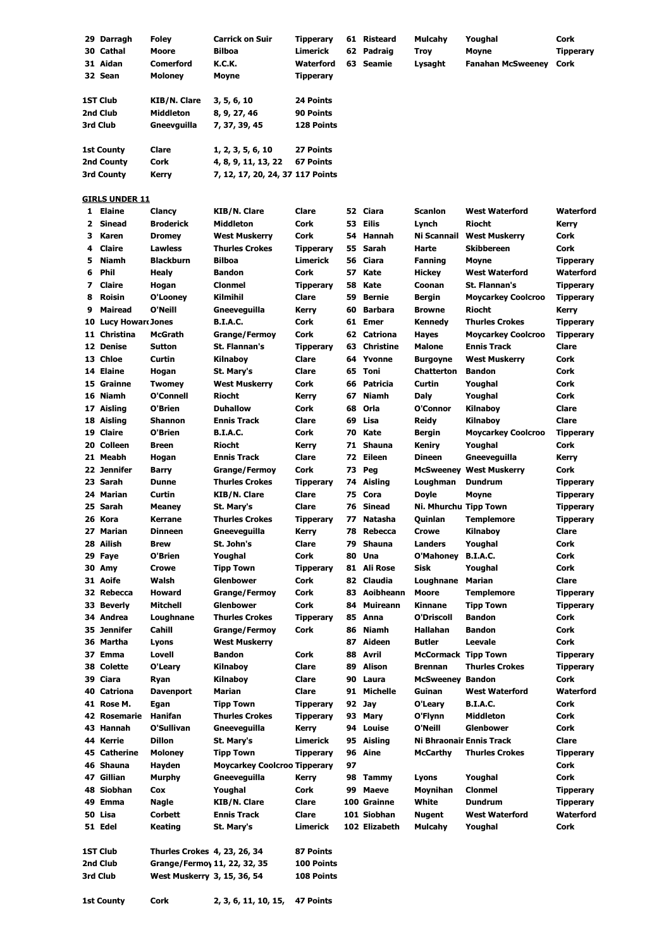|              | 29 Darragh                    | <b>Foley</b>                       | <b>Carrick on Suir</b>                                  | Tipperary                            |          | 61 Risteard        | <b>Mulcahy</b>             | Youghal                        | Cork                          |
|--------------|-------------------------------|------------------------------------|---------------------------------------------------------|--------------------------------------|----------|--------------------|----------------------------|--------------------------------|-------------------------------|
|              | 30 Cathal                     | Moore                              | <b>Bilboa</b>                                           | Limerick                             |          | 62 Padraig         | <b>Troy</b>                | <b>Moyne</b>                   | <b>Tipperary</b>              |
|              | 31 Aidan<br>32 Sean           | <b>Comerford</b><br><b>Moloney</b> | <b>K.C.K.</b>                                           | <b>Waterford</b>                     |          | 63 Seamie          | Lysaght                    | <b>Fanahan McSweeney</b>       | Cork                          |
|              |                               |                                    | Moyne                                                   | <b>Tipperary</b>                     |          |                    |                            |                                |                               |
|              | 1ST Club                      | <b>KIB/N. Clare</b>                | 3, 5, 6, 10                                             | 24 Points                            |          |                    |                            |                                |                               |
|              | 2nd Club                      | Middleton                          | 8, 9, 27, 46                                            | 90 Points                            |          |                    |                            |                                |                               |
|              | 3rd Club                      | Gneevguilla                        | 7, 37, 39, 45                                           | 128 Points                           |          |                    |                            |                                |                               |
|              |                               |                                    |                                                         |                                      |          |                    |                            |                                |                               |
|              | <b>1st County</b>             | Clare                              | 1, 2, 3, 5, 6, 10                                       | 27 Points                            |          |                    |                            |                                |                               |
|              | 2nd County<br>3rd County      | Cork<br>Kerry                      | 4, 8, 9, 11, 13, 22<br>7, 12, 17, 20, 24, 37 117 Points | <b>67 Points</b>                     |          |                    |                            |                                |                               |
|              |                               |                                    |                                                         |                                      |          |                    |                            |                                |                               |
|              | <b>GIRLS UNDER 11</b>         |                                    |                                                         |                                      |          |                    |                            |                                |                               |
|              | 1 Elaine                      | Clancy                             | <b>KIB/N. Clare</b>                                     | <b>Clare</b>                         |          | 52 Ciara           | <b>Scanlon</b>             | <b>West Waterford</b>          | Waterford                     |
| $\mathbf{2}$ | <b>Sinead</b>                 | <b>Broderick</b>                   | <b>Middleton</b>                                        | Cork                                 | 53       | Eilis              | Lynch                      | <b>Riocht</b>                  | Kerry                         |
| 3            | Karen                         | <b>Dromey</b>                      | <b>West Muskerry</b>                                    | Cork                                 | 54       | Hannah             | Ni Scannail                | <b>West Muskerry</b>           | Cork                          |
| 4<br>5       | <b>Claire</b><br><b>Niamh</b> | <b>Lawless</b><br><b>Blackburn</b> | <b>Thurles Crokes</b><br><b>Bilboa</b>                  | <b>Tipperary</b><br><b>Limerick</b>  | 55<br>56 | Sarah<br>Ciara     | Harte<br><b>Fanning</b>    | <b>Skibbereen</b>              | Cork                          |
| 6            | Phil                          | <b>Healy</b>                       | <b>Bandon</b>                                           | Cork                                 | 57       | Kate               | <b>Hickey</b>              | Moyne<br><b>West Waterford</b> | <b>Tipperary</b><br>Waterford |
| 7            | <b>Claire</b>                 | Hogan                              | <b>Clonmel</b>                                          | <b>Tipperary</b>                     | 58       | Kate               | Coonan                     | St. Flannan's                  | <b>Tipperary</b>              |
| 8            | <b>Roisin</b>                 | O'Looney                           | Kilmihil                                                | Clare                                | 59       | Bernie             | <b>Bergin</b>              | <b>Moycarkey Coolcroo</b>      | <b>Tipperary</b>              |
| 9            | Mairead                       | O'Neill                            | Gneeveguilla                                            | Kerry                                | 60       | <b>Barbara</b>     | <b>Browne</b>              | <b>Riocht</b>                  | Kerry                         |
|              | 10 Lucy Howard Jones          |                                    | <b>B.I.A.C.</b>                                         | Cork                                 |          | 61 Emer            | Kennedy                    | <b>Thurles Crokes</b>          | <b>Tipperary</b>              |
|              | 11 Christina                  | <b>McGrath</b>                     | <b>Grange/Fermoy</b>                                    | Cork                                 |          | 62 Catriona        | Hayes                      | <b>Moycarkey Coolcroo</b>      | <b>Tipperary</b>              |
|              | 12 Denise                     | <b>Sutton</b>                      | St. Flannan's                                           | <b>Tipperary</b>                     | 63       | <b>Christine</b>   | Malone                     | <b>Ennis Track</b>             | Clare                         |
|              | 13 Chloe                      | Curtin                             | Kilnaboy                                                | Clare                                |          | 64 Yvonne          | <b>Burgoyne</b>            | <b>West Muskerry</b>           | Cork                          |
|              | 14 Elaine                     | Hogan                              | St. Mary's                                              | Clare                                |          | 65 Toni            | <b>Chatterton</b>          | <b>Bandon</b>                  | Cork                          |
|              | 15 Grainne                    | <b>Twomey</b>                      | <b>West Muskerry</b>                                    | Cork                                 | 66       | Patricia           | Curtin                     | Youghal                        | Cork                          |
|              | 16 Niamh                      | O'Connell<br>O'Brien               | <b>Riocht</b><br><b>Duhallow</b>                        | Kerry<br>Cork                        | 67<br>68 | Niamh<br>Orla      | Daly<br>O'Connor           | Youghal                        | Cork<br>Clare                 |
|              | 17 Aisling<br>18 Aisling      | <b>Shannon</b>                     | <b>Ennis Track</b>                                      | Clare                                | 69       | Lisa               | <b>Reidy</b>               | Kilnaboy<br>Kilnaboy           | Clare                         |
|              | 19 Claire                     | O'Brien                            | <b>B.I.A.C.</b>                                         | Cork                                 | 70       | Kate               | <b>Bergin</b>              | <b>Moycarkey Coolcroo</b>      | <b>Tipperary</b>              |
|              | 20 Colleen                    | <b>Breen</b>                       | <b>Riocht</b>                                           | Kerry                                | 71       | <b>Shauna</b>      | Keniry                     | Youghal                        | Cork                          |
|              | 21 Meabh                      | Hogan                              | <b>Ennis Track</b>                                      | Clare                                | 72       | Eileen             | <b>Dineen</b>              | Gneeveguilla                   | Kerry                         |
|              | 22 Jennifer                   | <b>Barry</b>                       | <b>Grange/Fermoy</b>                                    | Cork                                 | 73       | Peg                |                            | <b>McSweenev West Muskerry</b> | Cork                          |
|              | 23 Sarah                      | <b>Dunne</b>                       | <b>Thurles Crokes</b>                                   | <b>Tipperary</b>                     |          | 74 Aisling         | Loughman                   | <b>Dundrum</b>                 | <b>Tipperary</b>              |
|              | 24 Marian                     | Curtin                             | <b>KIB/N. Clare</b>                                     | Clare                                | 75       | Cora               | <b>Doyle</b>               | <b>Moyne</b>                   | <b>Tipperary</b>              |
|              | 25 Sarah                      | <b>Meaney</b>                      | St. Mary's                                              | Clare                                |          | 76 Sinead          | Ni. Mhurchu Tipp Town      |                                | <b>Tipperary</b>              |
|              | 26 Kora                       | <b>Kerrane</b>                     | <b>Thurles Crokes</b>                                   | <b>Tipperary</b>                     | 77       | Natasha            | Quinlan                    | <b>Templemore</b>              | <b>Tipperary</b>              |
|              | 27 Marian                     | <b>Dinneen</b>                     | Gneeveguilla                                            | Kerry                                |          | 78 Rebecca         | <b>Crowe</b>               | Kilnaboy                       | Clare                         |
|              | 28 Ailish                     | <b>Brew</b>                        | St. John's                                              | Clare                                |          | 79 Shauna          | Landers                    | Youghal<br><b>B.I.A.C.</b>     | Cork                          |
|              | 29 Faye<br>30 Amy             | O'Brien<br>Crowe                   | Youghal<br><b>Tipp Town</b>                             | Cork<br><b>Tipperary</b>             | 80       | Una<br>81 Ali Rose | O'Mahoney<br>Sisk          | Youghal                        | Cork<br>Cork                  |
|              | 31 Aoife                      | Walsh                              | <b>Glenbower</b>                                        | Cork                                 | 82       | Claudia            | Loughnane                  | Marian                         | Clare                         |
|              | 32 Rebecca                    | Howard                             | <b>Grange/Fermoy</b>                                    | Cork                                 |          | 83 Aoibheann       | <b>Moore</b>               | <b>Templemore</b>              | <b>Tipperary</b>              |
|              | 33 Beverly                    | Mitchell                           | <b>Glenbower</b>                                        | Cork                                 | 84       | Muireann           | Kinnane                    | <b>Tipp Town</b>               | <b>Tipperary</b>              |
|              | 34 Andrea                     | Loughnane                          | <b>Thurles Crokes</b>                                   | <b>Tipperary</b>                     |          | 85 Anna            | O'Driscoll                 | <b>Bandon</b>                  | Cork                          |
|              | 35 Jennifer                   | Cahill                             | <b>Grange/Fermoy</b>                                    | Cork                                 | 86       | Niamh              | Hallahan                   | <b>Bandon</b>                  | Cork                          |
|              | 36 Martha                     | Lyons                              | <b>West Muskerry</b>                                    |                                      | 87       | Aideen             | <b>Butler</b>              | Leevale                        | Cork                          |
|              | 37 Emma                       | Lovell                             | <b>Bandon</b>                                           | Cork                                 |          | 88 Avril           | <b>McCormack Tipp Town</b> |                                | <b>Tipperary</b>              |
|              | 38 Colette                    | O'Leary                            | Kilnaboy                                                | Clare                                | 89       | Alison             | <b>Brennan</b>             | <b>Thurles Crokes</b>          | <b>Tipperary</b>              |
|              | 39 Ciara                      | Ryan                               | Kilnaboy                                                | Clare                                | 90       | Laura              | <b>McSweeney Bandon</b>    |                                | Cork                          |
|              | 40 Catriona                   | <b>Davenport</b>                   | Marian                                                  | Clare                                |          | 91 Michelle        | Guinan                     | <b>West Waterford</b>          | Waterford                     |
|              | 41 Rose M.<br>42 Rosemarie    | Egan<br>Hanifan                    | <b>Tipp Town</b><br><b>Thurles Crokes</b>               | <b>Tipperary</b><br><b>Tipperary</b> | 92<br>93 | Jay<br>Mary        | O'Leary<br>O'Flynn         | <b>B.I.A.C.</b><br>Middleton   | Cork<br>Cork                  |
|              | 43 Hannah                     | O'Sullivan                         | Gneeveguilla                                            | Kerry                                | 94       | Louise             | O'Neill                    | Glenbower                      | Cork                          |
|              | 44 Kerrie                     | <b>Dillon</b>                      | St. Mary's                                              | Limerick                             | 95       | Aisling            | Ni Bhraonair Ennis Track   |                                | Clare                         |
|              | 45 Catherine                  | <b>Moloney</b>                     | <b>Tipp Town</b>                                        | <b>Tipperary</b>                     |          | 96 Aine            | McCarthy                   | Thurles Crokes                 | <b>Tipperary</b>              |
|              | 46 Shauna                     | Hayden                             | <b>Moycarkey Coolcroo Tipperary</b>                     |                                      | 97       |                    |                            |                                | Cork                          |
|              | 47 Gillian                    | Murphy                             | Gneeveguilla                                            | <b>Kerry</b>                         |          | 98 Tammy           | Lyons                      | Youghal                        | Cork                          |
|              | 48 Siobhan                    | Cox                                | Youghal                                                 | Cork                                 | 99       | Maeve              | Moynihan                   | <b>Clonmel</b>                 | <b>Tipperary</b>              |
|              | 49 Emma                       | Nagle                              | KIB/N. Clare                                            | Clare                                |          | 100 Grainne        | White                      | <b>Dundrum</b>                 | <b>Tipperary</b>              |
|              | 50 Lisa                       | <b>Corbett</b>                     | <b>Ennis Track</b>                                      | Clare                                |          | 101 Siobhan        | <b>Nugent</b>              | <b>West Waterford</b>          | Waterford                     |
|              | 51 Edel                       | Keating                            | St. Mary's                                              | Limerick                             |          | 102 Elizabeth      | Mulcahy                    | Youghal                        | Cork                          |
|              | 1ST Club                      | Thurles Crokes 4, 23, 26, 34       |                                                         | 87 Points                            |          |                    |                            |                                |                               |
|              | 2nd Club                      | Grange/Fermoy 11, 22, 32, 35       |                                                         | 100 Points                           |          |                    |                            |                                |                               |
|              | 3rd Club                      | West Muskerry 3, 15, 36, 54        |                                                         | 108 Points                           |          |                    |                            |                                |                               |
|              |                               |                                    |                                                         |                                      |          |                    |                            |                                |                               |

**1st County Cork 2, 3, 6, 11, 10, 15, 47 Points**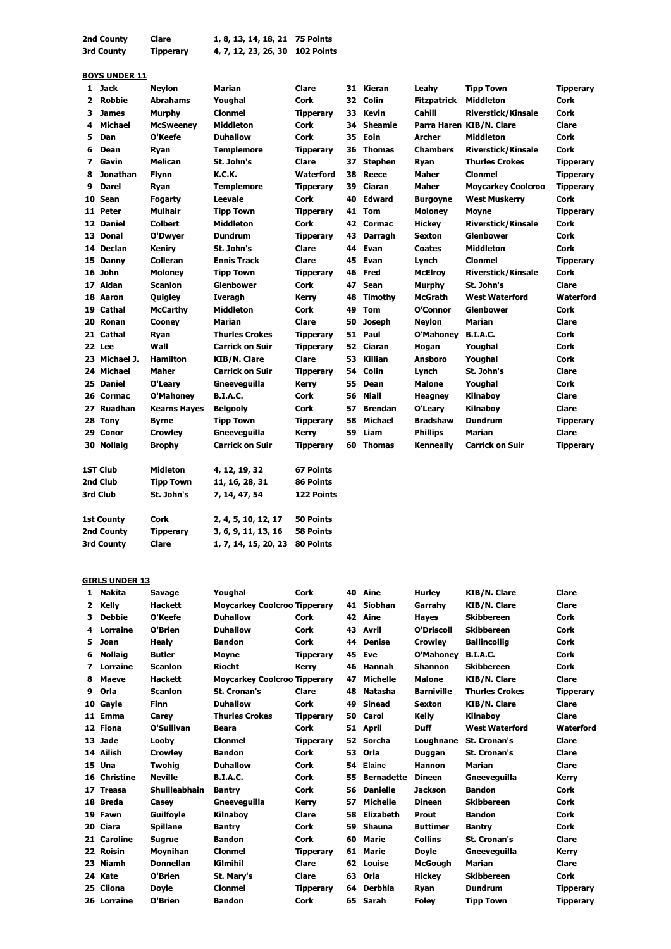| 2nd County | Clare            | 1, 8, 13, 14, 18, 21 75 Points  |  |
|------------|------------------|---------------------------------|--|
| 3rd County | <b>Tipperary</b> | 4, 7, 12, 23, 26, 30 102 Points |  |

#### **BOYS UNDER 11**

| 1 | <b>Jack</b>     | <b>Neylon</b>       | Marian                 | Clare            |    | 31 Kieran      | Leahy              | <b>Tipp Town</b>          | <b>Tipperary</b> |
|---|-----------------|---------------------|------------------------|------------------|----|----------------|--------------------|---------------------------|------------------|
| 2 | <b>Robbie</b>   | <b>Abrahams</b>     | Youghal                | <b>Cork</b>      |    | 32 Colin       | <b>Fitzpatrick</b> | <b>Middleton</b>          | Cork             |
| з | <b>James</b>    | <b>Murphy</b>       | <b>Clonmel</b>         | <b>Tipperary</b> | 33 | Kevin          | Cahill             | <b>Riverstick/Kinsale</b> | Cork             |
| 4 | <b>Michael</b>  | <b>McSweeney</b>    | <b>Middleton</b>       | <b>Cork</b>      | 34 | <b>Sheamie</b> |                    | Parra Haren KIB/N. Clare  | Clare            |
| 5 | Dan             | O'Keefe             | <b>Duhallow</b>        | <b>Cork</b>      | 35 | Eoin           | <b>Archer</b>      | <b>Middleton</b>          | <b>Cork</b>      |
| 6 | Dean            | Ryan                | <b>Templemore</b>      | <b>Tipperary</b> | 36 | <b>Thomas</b>  | <b>Chambers</b>    | <b>Riverstick/Kinsale</b> | Cork             |
| 7 | Gavin           | <b>Melican</b>      | St. John's             | Clare            | 37 | Stephen        | Ryan               | <b>Thurles Crokes</b>     | <b>Tipperary</b> |
| 8 | <b>Jonathan</b> | <b>Flynn</b>        | <b>K.C.K.</b>          | Waterford        | 38 | Reece          | <b>Maher</b>       | <b>Clonmel</b>            | <b>Tipperary</b> |
| 9 | <b>Darel</b>    | Ryan                | <b>Templemore</b>      | <b>Tipperary</b> | 39 | Ciaran         | <b>Maher</b>       | <b>Moycarkey Coolcroo</b> | <b>Tipperary</b> |
|   | 10 Sean         | Fogarty             | <b>Leevale</b>         | <b>Cork</b>      | 40 | <b>Edward</b>  | <b>Burgoyne</b>    | <b>West Muskerry</b>      | Cork             |
|   | 11 Peter        | <b>Mulhair</b>      | <b>Tipp Town</b>       | <b>Tipperary</b> |    | 41 Tom         | <b>Moloney</b>     | <b>Moyne</b>              | <b>Tipperary</b> |
|   | 12 Daniel       | <b>Colbert</b>      | <b>Middleton</b>       | <b>Cork</b>      |    | 42 Cormac      | <b>Hickey</b>      | <b>Riverstick/Kinsale</b> | Cork             |
|   | 13 Donal        | O'Dwyer             | <b>Dundrum</b>         | <b>Tipperary</b> | 43 | <b>Darragh</b> | <b>Sexton</b>      | <b>Glenbower</b>          | Cork             |
|   | 14 Declan       | Keniry              | St. John's             | Clare            | 44 | Evan           | <b>Coates</b>      | <b>Middleton</b>          | Cork             |
|   | 15 Danny        | <b>Colleran</b>     | <b>Ennis Track</b>     | Clare            | 45 | Evan           | Lynch              | <b>Clonmel</b>            | <b>Tipperary</b> |
|   | 16 John         | <b>Moloney</b>      | <b>Tipp Town</b>       | <b>Tipperary</b> | 46 | Fred           | <b>McElroy</b>     | <b>Riverstick/Kinsale</b> | Cork             |
|   | 17 Aidan        | <b>Scanlon</b>      | <b>Glenbower</b>       | <b>Cork</b>      | 47 | <b>Sean</b>    | Murphy             | St. John's                | Clare            |
|   | 18 Aaron        | Quigley             | Iveragh                | <b>Kerry</b>     | 48 | Timothy        | <b>McGrath</b>     | <b>West Waterford</b>     | Waterford        |
|   | 19 Cathal       | <b>McCarthy</b>     | <b>Middleton</b>       | <b>Cork</b>      | 49 | <b>Tom</b>     | O'Connor           | <b>Glenbower</b>          | Cork             |
|   | 20 Ronan        | Cooney              | <b>Marian</b>          | Clare            | 50 | <b>Joseph</b>  | <b>Neylon</b>      | <b>Marian</b>             | Clare            |
|   | 21 Cathal       | Ryan                | <b>Thurles Crokes</b>  | <b>Tipperary</b> | 51 | Paul           | O'Mahoney          | <b>B.I.A.C.</b>           | Cork             |
|   | 22 Lee          | Wall                | <b>Carrick on Suir</b> | <b>Tipperary</b> | 52 | Ciaran         | Hogan              | Youghal                   | Cork             |
|   | 23 Michael J.   | <b>Hamilton</b>     | <b>KIB/N. Clare</b>    | Clare            | 53 | Killian        | <b>Ansboro</b>     | Youghal                   | <b>Cork</b>      |
|   | 24 Michael      | <b>Maher</b>        | <b>Carrick on Suir</b> | <b>Tipperary</b> | 54 | Colin          | Lynch              | St. John's                | Clare            |
|   | 25 Daniel       | O'Leary             | Gneeveguilla           | <b>Kerry</b>     |    | 55 Dean        | <b>Malone</b>      | Youghal                   | Cork             |
|   | 26 Cormac       | <b>O'Mahoney</b>    | <b>B.I.A.C.</b>        | Cork             | 56 | <b>Niall</b>   | <b>Heagney</b>     | Kilnaboy                  | Clare            |
|   | 27 Ruadhan      | <b>Kearns Hayes</b> | <b>Belgooly</b>        | <b>Cork</b>      | 57 | <b>Brendan</b> | O'Leary            | Kilnaboy                  | Clare            |
|   | 28 Tony         | <b>Byrne</b>        | <b>Tipp Town</b>       | <b>Tipperary</b> | 58 | <b>Michael</b> | <b>Bradshaw</b>    | <b>Dundrum</b>            | <b>Tipperary</b> |
|   | 29 Conor        | <b>Crowley</b>      | Gneeveguilla           | Kerry            | 59 | Liam           | <b>Phillips</b>    | <b>Marian</b>             | Clare            |
|   | 30 Nollaig      | <b>Brophy</b>       | <b>Carrick on Suir</b> | <b>Tipperary</b> | 60 | <b>Thomas</b>  | Kenneally          | <b>Carrick on Suir</b>    | <b>Tipperary</b> |
|   |                 |                     |                        |                  |    |                |                    |                           |                  |
|   | 1ST Club        | <b>Midleton</b>     | 4, 12, 19, 32          | <b>67 Points</b> |    |                |                    |                           |                  |
|   | 2nd Club        | <b>Tipp Town</b>    | 11, 16, 28, 31         | 86 Points        |    |                |                    |                           |                  |
|   | 3rd Club        | St. John's          | 7, 14, 47, 54          | 122 Points       |    |                |                    |                           |                  |
|   |                 |                     |                        |                  |    |                |                    |                           |                  |
|   | 1st County      | Cork                | 2, 4, 5, 10, 12, 17    | <b>50 Points</b> |    |                |                    |                           |                  |
|   | 2nd County      | <b>Tipperary</b>    | 3, 6, 9, 11, 13, 16    | <b>58 Points</b> |    |                |                    |                           |                  |
|   | 3rd County      | <b>Clare</b>        | 1, 7, 14, 15, 20, 23   | <b>80 Points</b> |    |                |                    |                           |                  |
|   |                 |                     |                        |                  |    |                |                    |                           |                  |

## **GIRLS UNDER 13**

| 1.           | <b>Nakita</b>  | Savage               | Youghal                             | <b>Cork</b>      | 40 | Aine              | <b>Hurley</b>     | <b>KIB/N. Clare</b>   | Clare            |
|--------------|----------------|----------------------|-------------------------------------|------------------|----|-------------------|-------------------|-----------------------|------------------|
| $\mathbf{2}$ | <b>Kelly</b>   | <b>Hackett</b>       | <b>Moycarkey Coolcroo Tipperary</b> |                  | 41 | <b>Siobhan</b>    | Garrahy           | <b>KIB/N. Clare</b>   | Clare            |
| 3            | <b>Debbie</b>  | O'Keefe              | <b>Duhallow</b>                     | Cork             |    | 42 Aine           | <b>Hayes</b>      | <b>Skibbereen</b>     | Cork             |
| 4            | Lorraine       | O'Brien              | <b>Duhallow</b>                     | Cork             | 43 | Avril             | O'Driscoll        | <b>Skibbereen</b>     | Cork             |
| 5.           | <b>Joan</b>    | <b>Healy</b>         | <b>Bandon</b>                       | <b>Cork</b>      | 44 | <b>Denise</b>     | <b>Crowley</b>    | <b>Ballincollig</b>   | <b>Cork</b>      |
| 6            | <b>Nollaig</b> | <b>Butler</b>        | <b>Moyne</b>                        | <b>Tipperary</b> | 45 | Eve               | O'Mahoney         | <b>B.I.A.C.</b>       | Cork             |
| 7            | Lorraine       | <b>Scanlon</b>       | <b>Riocht</b>                       | Kerry            | 46 | Hannah            | <b>Shannon</b>    | <b>Skibbereen</b>     | Cork             |
| 8            | Maeve          | <b>Hackett</b>       | <b>Moycarkey Coolcroo Tipperary</b> |                  | 47 | <b>Michelle</b>   | <b>Malone</b>     | <b>KIB/N. Clare</b>   | Clare            |
| 9            | Orla           | <b>Scanlon</b>       | <b>St. Cronan's</b>                 | Clare            | 48 | <b>Natasha</b>    | <b>Barniville</b> | <b>Thurles Crokes</b> | <b>Tipperary</b> |
|              | 10 Gayle       | <b>Finn</b>          | <b>Duhallow</b>                     | Cork             | 49 | <b>Sinead</b>     | <b>Sexton</b>     | <b>KIB/N. Clare</b>   | Clare            |
|              | 11 Emma        | Carev                | <b>Thurles Crokes</b>               | <b>Tipperary</b> | 50 | Carol             | Kelly             | <b>Kilnabov</b>       | Clare            |
|              | 12 Fiona       | O'Sullivan           | <b>Beara</b>                        | <b>Cork</b>      | 51 | April             | <b>Duff</b>       | <b>West Waterford</b> | Waterford        |
|              | 13 Jade        | Looby                | <b>Clonmel</b>                      | <b>Tipperary</b> | 52 | <b>Sorcha</b>     | Loughnane         | <b>St. Cronan's</b>   | Clare            |
|              | 14 Ailish      | <b>Crowley</b>       | <b>Bandon</b>                       | <b>Cork</b>      | 53 | Orla              | Duggan            | <b>St. Cronan's</b>   | Clare            |
|              | 15 Una         | <b>Twohia</b>        | <b>Duhallow</b>                     | Cork             | 54 | Elaine            | <b>Hannon</b>     | <b>Marian</b>         | Clare            |
|              | 16 Christine   | <b>Neville</b>       | <b>B.I.A.C.</b>                     | Cork             | 55 | <b>Bernadette</b> | <b>Dineen</b>     | Gneeveguilla          | Kerry            |
|              | 17 Treasa      | <b>Shuilleabhain</b> | <b>Bantry</b>                       | <b>Cork</b>      | 56 | <b>Danielle</b>   | <b>Jackson</b>    | <b>Bandon</b>         | Cork             |
|              | 18 Breda       | Casev                | Gneeveguilla                        | Kerry            | 57 | <b>Michelle</b>   | <b>Dineen</b>     | <b>Skibbereen</b>     | Cork             |
|              | 19 Fawn        | <b>Guilfoyle</b>     | Kilnaboy                            | Clare            | 58 | <b>Elizabeth</b>  | Prout             | <b>Bandon</b>         | Cork             |
|              | 20 Ciara       | <b>Spillane</b>      | <b>Bantry</b>                       | Cork             | 59 | Shauna            | <b>Buttimer</b>   | <b>Bantry</b>         | Cork             |
|              | 21 Caroline    | <b>Sugrue</b>        | <b>Bandon</b>                       | Cork             | 60 | Marie             | <b>Collins</b>    | <b>St. Cronan's</b>   | Clare            |
|              | 22 Roisin      | <b>Movnihan</b>      | <b>Clonmel</b>                      | <b>Tipperary</b> | 61 | Marie             | <b>Doyle</b>      | Gneeveguilla          | Kerrv            |
|              | 23 Niamh       | <b>Donnellan</b>     | <b>Kilmihil</b>                     | Clare            | 62 | Louise            | <b>McGough</b>    | <b>Marian</b>         | Clare            |
|              | 24 Kate        | O'Brien              | St. Mary's                          | Clare            | 63 | Orla              | <b>Hickey</b>     | <b>Skibbereen</b>     | Cork             |
|              | 25 Cliona      | <b>Doyle</b>         | <b>Clonmel</b>                      | <b>Tipperary</b> | 64 | <b>Derbhla</b>    | Ryan              | <b>Dundrum</b>        | <b>Tipperary</b> |
|              | 26 Lorraine    | O'Brien              | <b>Bandon</b>                       | Cork             |    | 65 Sarah          | <b>Folev</b>      | <b>Tipp Town</b>      | <b>Tipperary</b> |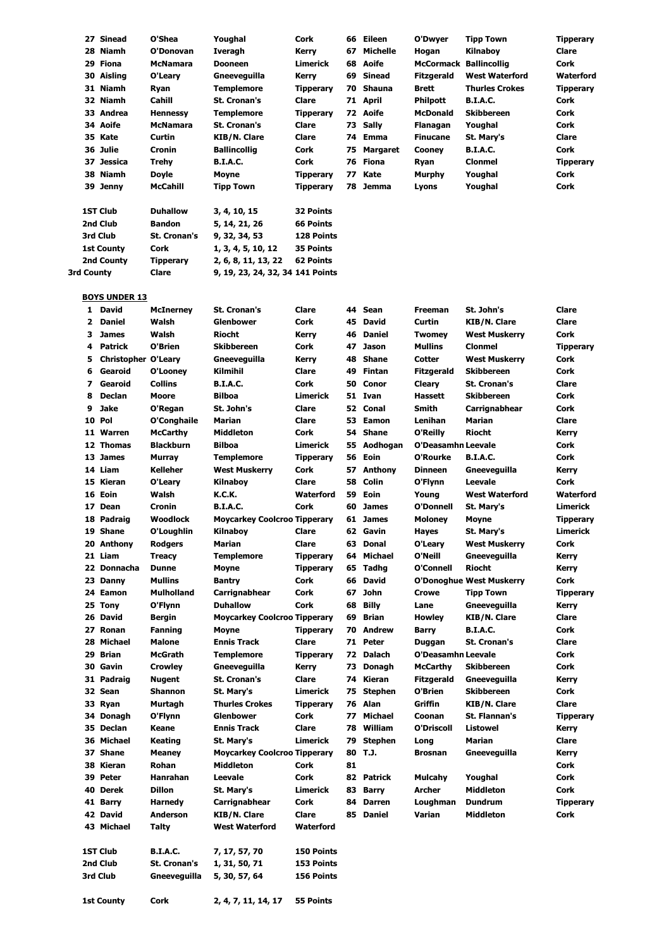| 27              | Sinead            | O'Shea          | Youghal             | Cork              | 66  | Eileen   | O'Dwyer                       | <b>Tipp Town</b>      | <b>Tipperary</b> |
|-----------------|-------------------|-----------------|---------------------|-------------------|-----|----------|-------------------------------|-----------------------|------------------|
|                 | 28 Niamh          | O'Donovan       | Iveragh             | Kerry             | 67  | Michelle | Hogan                         | Kilnaboy              | Clare            |
|                 | 29 Fiona          | <b>McNamara</b> | <b>Dooneen</b>      | Limerick          |     | 68 Aoife | <b>McCormack Ballincollig</b> |                       | Cork             |
|                 | 30 Aisling        | O'Leary         | Gneeveguilla        | Kerry             | 69  | Sinead   | <b>Fitzgerald</b>             | <b>West Waterford</b> | <b>Waterford</b> |
|                 | 31 Niamh          | Ryan            | <b>Templemore</b>   | <b>Tipperary</b>  | 70  | Shauna   | <b>Brett</b>                  | <b>Thurles Crokes</b> | <b>Tipperary</b> |
|                 | 32 Niamh          | Cahill          | <b>St. Cronan's</b> | Clare             |     | 71 April | <b>Philpott</b>               | <b>B.I.A.C.</b>       | Cork             |
|                 | 33 Andrea         | <b>Hennessy</b> | <b>Templemore</b>   | <b>Tipperary</b>  |     | 72 Aoife | <b>McDonald</b>               | <b>Skibbereen</b>     | Cork             |
|                 | 34 Aoife          | <b>McNamara</b> | <b>St. Cronan's</b> | Clare             |     | 73 Sally | Flanagan                      | Youghal               | Cork             |
| 35 Kate         |                   | Curtin          | KIB/N. Clare        | Clare             |     | 74 Emma  | <b>Finucane</b>               | St. Mary's            | Clare            |
| 36 Julie        |                   | Cronin          | <b>Ballincollig</b> | Cork              | 75. | Margaret | Cooney                        | <b>B.I.A.C.</b>       | Cork             |
|                 | 37 Jessica        | Trehy           | <b>B.I.A.C.</b>     | Cork              |     | 76 Fiona | Ryan                          | <b>Clonmel</b>        | <b>Tipperary</b> |
|                 | 38 Niamh          | Doyle           | Moyne               | <b>Tipperary</b>  | 77  | Kate     | Murphy                        | Youghal               | Cork             |
|                 | 39 Jenny          | McCahill        | <b>Tipp Town</b>    | <b>Tipperary</b>  | 78  | Jemma    | Lyons                         | Youghal               | Cork             |
| <b>1ST Club</b> |                   | <b>Duhallow</b> | 3, 4, 10, 15        | 32 Points         |     |          |                               |                       |                  |
| 2nd Club        |                   | <b>Bandon</b>   | 5, 14, 21, 26       | <b>66 Points</b>  |     |          |                               |                       |                  |
| 3rd Club        |                   | St. Cronan's    | 9, 32, 34, 53       | <b>128 Points</b> |     |          |                               |                       |                  |
|                 | <b>1st County</b> | Cork            | 1, 3, 4, 5, 10, 12  | 35 Points         |     |          |                               |                       |                  |
|                 | 2nd County        | Tipperary       | 2, 6, 8, 11, 13, 22 | <b>62 Points</b>  |     |          |                               |                       |                  |

#### **BOYS UNDER 13**

**3rd County Clare 9, 19, 23, 24, 32, 34 141 Points**

**1st County Cork 2, 4, 7, 11, 14, 17 55 Points**

| 1            | <b>David</b>               | <b>McInerney</b>  | St. Cronan's                        | Clare            | 44 | Sean           | Freeman                   | St. John's                      | Clare            |
|--------------|----------------------------|-------------------|-------------------------------------|------------------|----|----------------|---------------------------|---------------------------------|------------------|
| $\mathbf{z}$ | <b>Daniel</b>              | Walsh             | Glenbower                           | Cork             | 45 | <b>David</b>   | Curtin                    | KIB/N. Clare                    | Clare            |
| 3            | <b>James</b>               | Walsh             | Riocht                              | <b>Kerry</b>     | 46 | <b>Daniel</b>  | <b>Twomey</b>             | <b>West Muskerry</b>            | Cork             |
| 4            | <b>Patrick</b>             | O'Brien           | <b>Skibbereen</b>                   | Cork             | 47 | <b>Jason</b>   | Mullins                   | <b>Clonmel</b>                  | <b>Tipperary</b> |
| 5            | <b>Christopher O'Leary</b> |                   | Gneeveguilla                        | <b>Kerry</b>     | 48 | <b>Shane</b>   | Cotter                    | <b>West Muskerry</b>            | Cork             |
| 6            | Gearoid                    | O'Looney          | Kilmihil                            | Clare            | 49 | <b>Fintan</b>  | <b>Fitzgerald</b>         | <b>Skibbereen</b>               | Cork             |
| 7            | Gearoid                    | <b>Collins</b>    | <b>B.I.A.C.</b>                     | Cork             | 50 | Conor          | <b>Cleary</b>             | <b>St. Cronan's</b>             | Clare            |
| 8            | <b>Declan</b>              | Moore             | <b>Bilboa</b>                       | <b>Limerick</b>  |    | 51 Ivan        | <b>Hassett</b>            | <b>Skibbereen</b>               | Cork             |
| 9            | <b>Jake</b>                | O'Regan           | St. John's                          | Clare            |    | 52 Conal       | <b>Smith</b>              | Carrignabhear                   | Cork             |
|              | 10 Pol                     | O'Conghaile       | Marian                              | Clare            | 53 | Eamon          | Lenihan                   | <b>Marian</b>                   | Clare            |
|              | 11 Warren                  | <b>McCarthy</b>   | Middleton                           | Cork             | 54 | <b>Shane</b>   | O'Reilly                  | <b>Riocht</b>                   | Kerry            |
|              | 12 Thomas                  | <b>Blackburn</b>  | <b>Bilboa</b>                       | <b>Limerick</b>  | 55 | Aodhogan       | O'Deasamhn Leevale        |                                 | Cork             |
|              | 13 James                   | <b>Murray</b>     | <b>Templemore</b>                   | <b>Tipperary</b> | 56 | Eoin           | O'Rourke                  | <b>B.I.A.C.</b>                 | Cork             |
|              | 14 Liam                    | <b>Kelleher</b>   | West Muskerry                       | Cork             | 57 | Anthony        | <b>Dinneen</b>            | Gneeveguilla                    | Kerry            |
|              | 15 Kieran                  | O'Leary           | Kilnaboy                            | Clare            | 58 | Colin          | O'Flynn                   | <b>Leevale</b>                  | <b>Cork</b>      |
|              | 16 Eoin                    | Walsh             | K.C.K.                              | <b>Waterford</b> | 59 | Eoin           | Young                     | <b>West Waterford</b>           | Waterford        |
| 17           | Dean                       | Cronin            | <b>B.I.A.C.</b>                     | Cork             | 60 | <b>James</b>   | O'Donnell                 | St. Mary's                      | <b>Limerick</b>  |
|              | 18 Padraig                 | <b>Woodlock</b>   | <b>Moycarkey Coolcroo Tipperary</b> |                  | 61 | <b>James</b>   | <b>Moloney</b>            | <b>Moyne</b>                    | <b>Tipperary</b> |
|              | 19 Shane                   | O'Loughlin        | Kilnaboy                            | Clare            |    | 62 Gavin       | Hayes                     | St. Mary's                      | Limerick         |
|              | 20 Anthony                 | <b>Rodgers</b>    | Marian                              | Clare            |    | 63 Donal       | O'Leary                   | <b>West Muskerry</b>            | <b>Cork</b>      |
|              | 21 Liam                    | <b>Treacy</b>     | <b>Templemore</b>                   | <b>Tipperary</b> | 64 | <b>Michael</b> | O'Neill                   | Gneeveguilla                    | Kerry            |
|              | 22 Donnacha                | <b>Dunne</b>      | Moyne                               | <b>Tipperary</b> | 65 | <b>Tadhg</b>   | O'Connell                 | <b>Riocht</b>                   | Kerry            |
|              | 23 Danny                   | <b>Mullins</b>    | <b>Bantry</b>                       | Cork             | 66 | <b>David</b>   |                           | <b>O'Donoghue West Muskerry</b> | Cork             |
|              | 24 Eamon                   | <b>Mulholland</b> | Carrignabhear                       | Cork             | 67 | <b>John</b>    | <b>Crowe</b>              | <b>Tipp Town</b>                | <b>Tipperary</b> |
|              | 25 Tony                    | O'Flynn           | <b>Duhallow</b>                     | Cork             | 68 | <b>Billy</b>   | Lane                      | Gneeveguilla                    | Kerry            |
|              | 26 David                   | <b>Bergin</b>     | <b>Moycarkey Coolcroo Tipperary</b> |                  | 69 | <b>Brian</b>   | Howley                    | <b>KIB/N. Clare</b>             | Clare            |
|              | 27 Ronan                   | <b>Fanning</b>    | Moyne                               | <b>Tipperary</b> | 70 | <b>Andrew</b>  | Barry                     | <b>B.I.A.C.</b>                 | Cork             |
|              | 28 Michael                 | Malone            | <b>Ennis Track</b>                  | Clare            |    | 71 Peter       | Duggan                    | <b>St. Cronan's</b>             | Clare            |
| 29           | <b>Brian</b>               | <b>McGrath</b>    | Templemore                          | <b>Tipperary</b> | 72 | <b>Dalach</b>  | <b>O'Deasamhn Leevale</b> |                                 | Cork             |
|              | 30 Gavin                   | <b>Crowley</b>    | Gneeveguilla                        | Kerry            | 73 | Donagh         | <b>McCarthy</b>           | <b>Skibbereen</b>               | <b>Cork</b>      |
|              | 31 Padraig                 | <b>Nugent</b>     | <b>St. Cronan's</b>                 | Clare            | 74 | Kieran         | Fitzgerald                | Gneeveguilla                    | Kerry            |
|              | 32 Sean                    | <b>Shannon</b>    | St. Mary's                          | <b>Limerick</b>  | 75 | <b>Stephen</b> | O'Brien                   | <b>Skibbereen</b>               | Cork             |
|              | 33 Ryan                    | Murtagh           | <b>Thurles Crokes</b>               | <b>Tipperary</b> | 76 | Alan           | Griffin                   | <b>KIB/N. Clare</b>             | Clare            |
|              | 34 Donagh                  | O'Flynn           | Glenbower                           | Cork             | 77 | <b>Michael</b> | Coonan                    | St. Flannan's                   | <b>Tipperary</b> |
|              | 35 Declan                  | <b>Keane</b>      | <b>Ennis Track</b>                  | Clare            | 78 | William        | O'Driscoll                | <b>Listowel</b>                 | Kerry            |
|              | 36 Michael                 | <b>Keating</b>    | St. Mary's                          | <b>Limerick</b>  | 79 | <b>Stephen</b> | Long                      | <b>Marian</b>                   | Clare            |
|              | 37 Shane                   | <b>Meaney</b>     | <b>Moycarkey Coolcroo Tipperary</b> |                  |    | 80 T.J.        | <b>Brosnan</b>            | Gneeveguilla                    | Kerry            |
|              | 38 Kieran                  | Rohan             | <b>Middleton</b>                    | Cork             | 81 |                |                           |                                 | Cork             |
|              | 39 Peter                   | Hanrahan          | Leevale                             | Cork             |    | 82 Patrick     | Mulcahy                   | Youghal                         | Cork             |
|              | 40 Derek                   | <b>Dillon</b>     | St. Mary's                          | <b>Limerick</b>  | 83 | Barry          | <b>Archer</b>             | <b>Middleton</b>                | Cork             |
|              | 41 Barry                   | <b>Harnedy</b>    | Carrignabhear                       | Cork             | 84 | <b>Darren</b>  | Loughman                  | <b>Dundrum</b>                  | <b>Tipperary</b> |
|              | 42 David                   | <b>Anderson</b>   | KIB/N. Clare                        | Clare            | 85 | Daniel         | Varian                    | <b>Middleton</b>                | Cork             |
|              | 43 Michael                 | Talty             | <b>West Waterford</b>               | Waterford        |    |                |                           |                                 |                  |
|              | <b>1ST Club</b>            | <b>B.I.A.C.</b>   | 7, 17, 57, 70                       | 150 Points       |    |                |                           |                                 |                  |
|              | 2nd Club                   | St. Cronan's      | 1, 31, 50, 71                       | 153 Points       |    |                |                           |                                 |                  |
|              | 3rd Club                   | Gneeveguilla      | 5, 30, 57, 64                       | 156 Points       |    |                |                           |                                 |                  |
|              |                            |                   |                                     |                  |    |                |                           |                                 |                  |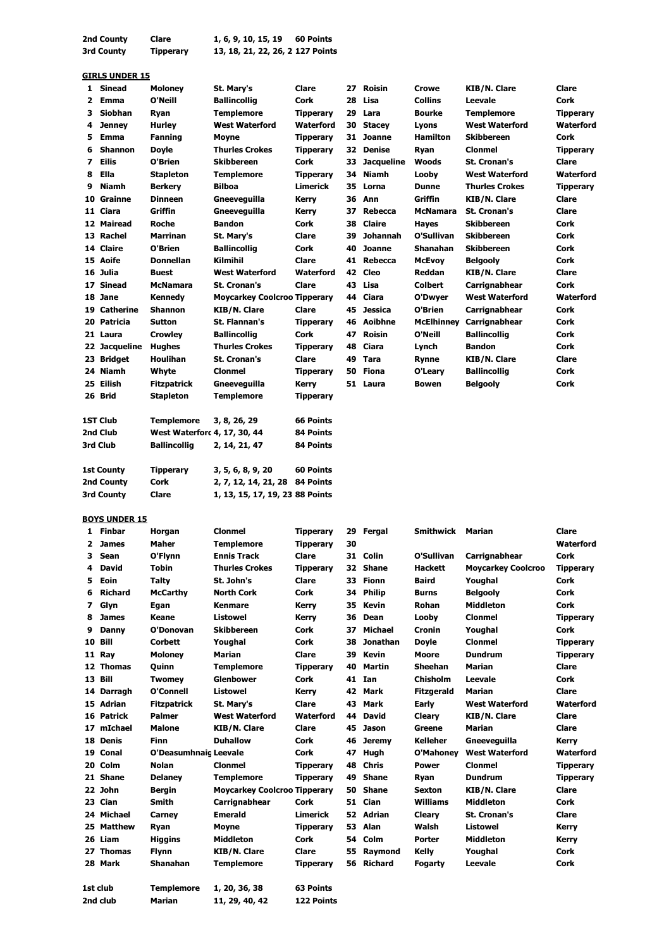| 2nd County | Clare            | 1, 6, 9, 10, 15, 19<br>60 Points |
|------------|------------------|----------------------------------|
| 3rd County | <b>Tipperary</b> | 13, 18, 21, 22, 26, 2 127 Points |

### **GIRLS UNDER 15**

|    | <u>UIKLJ UNDER 15</u> |                              |                                     |                  |    |                   |                 |                          |                  |
|----|-----------------------|------------------------------|-------------------------------------|------------------|----|-------------------|-----------------|--------------------------|------------------|
| 1  | Sinead                | <b>Moloney</b>               | St. Mary's                          | Clare            | 27 | Roisin            | <b>Crowe</b>    | <b>KIB/N. Clare</b>      | Clare            |
| 2  | Emma                  | O'Neill                      | <b>Ballincollig</b>                 | <b>Cork</b>      | 28 | Lisa              | <b>Collins</b>  | Leevale                  | <b>Cork</b>      |
| 3  | <b>Siobhan</b>        | Ryan                         | <b>Templemore</b>                   | <b>Tipperary</b> | 29 | Lara              | <b>Bourke</b>   | <b>Templemore</b>        | <b>Tipperary</b> |
| 4  | <b>Jenney</b>         | <b>Hurley</b>                | <b>West Waterford</b>               | Waterford        | 30 | <b>Stacey</b>     | Lyons           | <b>West Waterford</b>    | <b>Waterford</b> |
| 5. | Emma                  | <b>Fanning</b>               | Moyne                               | <b>Tipperary</b> | 31 | <b>Joanne</b>     | <b>Hamilton</b> | <b>Skibbereen</b>        | <b>Cork</b>      |
| 6  | <b>Shannon</b>        | <b>Doyle</b>                 | <b>Thurles Crokes</b>               | <b>Tipperary</b> | 32 | <b>Denise</b>     | Ryan            | <b>Clonmel</b>           | <b>Tipperary</b> |
| 7  | <b>Eilis</b>          | O'Brien                      | <b>Skibbereen</b>                   | <b>Cork</b>      | 33 | <b>Jacqueline</b> | Woods           | <b>St. Cronan's</b>      | Clare            |
| 8  | Ella                  | <b>Stapleton</b>             | <b>Templemore</b>                   | <b>Tipperary</b> | 34 | <b>Niamh</b>      | Looby           | <b>West Waterford</b>    | Waterford        |
| 9  | <b>Niamh</b>          | <b>Berkery</b>               | <b>Bilboa</b>                       | Limerick         | 35 | Lorna             | <b>Dunne</b>    | <b>Thurles Crokes</b>    | <b>Tipperary</b> |
|    | 10 Grainne            | <b>Dinneen</b>               | Gneeveguilla                        | Kerry            | 36 | Ann               | <b>Griffin</b>  | <b>KIB/N. Clare</b>      | <b>Clare</b>     |
|    | 11 Ciara              | Griffin                      | Gneeveguilla                        | Kerry            | 37 | <b>Rebecca</b>    | <b>McNamara</b> | <b>St. Cronan's</b>      | <b>Clare</b>     |
|    | 12 Mairead            | <b>Roche</b>                 | <b>Bandon</b>                       | Cork             | 38 | <b>Claire</b>     | <b>Hayes</b>    | <b>Skibbereen</b>        | Cork             |
|    | 13 Rachel             | <b>Marrinan</b>              | St. Mary's                          | Clare            | 39 | Johannah          | O'Sullivan      | <b>Skibbereen</b>        | <b>Cork</b>      |
|    | 14 Claire             | O'Brien                      | <b>Ballincollig</b>                 | Cork             | 40 | Joanne            | Shanahan        | <b>Skibbereen</b>        | <b>Cork</b>      |
|    | 15 Aoife              | <b>Donnellan</b>             | Kilmihil                            | Clare            | 41 | Rebecca           | <b>McEvoy</b>   | <b>Belgooly</b>          | <b>Cork</b>      |
|    | 16 Julia              | <b>Buest</b>                 | <b>West Waterford</b>               | Waterford        | 42 | <b>Cleo</b>       | Reddan          | <b>KIB/N. Clare</b>      | <b>Clare</b>     |
|    | 17 Sinead             | <b>McNamara</b>              | <b>St. Cronan's</b>                 | Clare            | 43 | Lisa              | <b>Colbert</b>  | Carrignabhear            | <b>Cork</b>      |
|    | 18 Jane               | <b>Kennedy</b>               | <b>Moycarkey Coolcroo Tipperary</b> |                  | 44 | Ciara             | O'Dwyer         | <b>West Waterford</b>    | <b>Waterford</b> |
|    | 19 Catherine          | <b>Shannon</b>               | <b>KIB/N. Clare</b>                 | Clare            | 45 | <b>Jessica</b>    | O'Brien         | Carrignabhear            | <b>Cork</b>      |
|    | 20 Patricia           | <b>Sutton</b>                | <b>St. Flannan's</b>                | <b>Tipperary</b> | 46 | Aoibhne           |                 | McElhinney Carrignabhear | <b>Cork</b>      |
|    | 21 Laura              | <b>Crowley</b>               | <b>Ballincollig</b>                 | <b>Cork</b>      | 47 | <b>Roisin</b>     | O'Neill         | <b>Ballincollig</b>      | <b>Cork</b>      |
|    | 22 Jacqueline         | <b>Hughes</b>                | <b>Thurles Crokes</b>               | <b>Tipperary</b> | 48 | Ciara             | Lynch           | <b>Bandon</b>            | <b>Cork</b>      |
|    | 23 Bridget            | <b>Houlihan</b>              | <b>St. Cronan's</b>                 | Clare            | 49 | <b>Tara</b>       | <b>Rynne</b>    | <b>KIB/N. Clare</b>      | <b>Clare</b>     |
|    | 24 Niamh              | Whyte                        | <b>Clonmel</b>                      | <b>Tipperary</b> | 50 | <b>Fiona</b>      | O'Leary         | <b>Ballincollig</b>      | <b>Cork</b>      |
|    | 25 Eilish             | <b>Fitzpatrick</b>           | Gneeveguilla                        | Kerry            |    | 51 Laura          | <b>Bowen</b>    | <b>Belgooly</b>          | Cork             |
|    | 26 Brid               | <b>Stapleton</b>             | <b>Templemore</b>                   | <b>Tipperary</b> |    |                   |                 |                          |                  |
|    | <b>1ST Club</b>       | <b>Templemore</b>            | 3, 8, 26, 29                        | <b>66 Points</b> |    |                   |                 |                          |                  |
|    | 2nd Club              | West Waterford 4, 17, 30, 44 |                                     | <b>84 Points</b> |    |                   |                 |                          |                  |
|    | 3rd Club              | <b>Ballincollig</b>          | 2, 14, 21, 47                       | 84 Points        |    |                   |                 |                          |                  |
|    | <b>1st County</b>     | <b>Tipperary</b>             | 3, 5, 6, 8, 9, 20                   | 60 Points        |    |                   |                 |                          |                  |
|    | 2nd County            | <b>Cork</b>                  | 2, 7, 12, 14, 21, 28                | 84 Points        |    |                   |                 |                          |                  |
|    | 3rd County            | <b>Clare</b>                 | 1, 13, 15, 17, 19, 23 88 Points     |                  |    |                   |                 |                          |                  |
|    |                       |                              |                                     |                  |    |                   |                 |                          |                  |

**BOYS UNDER 15**

| 1  | <b>Finbar</b>  | Horgan                | <b>Clonmel</b>                      | <b>Tipperary</b> | 29 | Fergal          | <b>Smithwick</b>  | <b>Marian</b>             | Clare            |
|----|----------------|-----------------------|-------------------------------------|------------------|----|-----------------|-------------------|---------------------------|------------------|
| 2  | <b>James</b>   | <b>Maher</b>          | <b>Templemore</b>                   | <b>Tipperary</b> | 30 |                 |                   |                           | Waterford        |
| з  | <b>Sean</b>    | O'Flynn               | <b>Ennis Track</b>                  | Clare            | 31 | Colin           | O'Sullivan        | Carrignabhear             | <b>Cork</b>      |
| 4  | <b>David</b>   | <b>Tobin</b>          | <b>Thurles Crokes</b>               | <b>Tipperary</b> | 32 | <b>Shane</b>    | <b>Hackett</b>    | <b>Moycarkey Coolcroo</b> | <b>Tipperary</b> |
| 5  | Eoin           | <b>Talty</b>          | St. John's                          | Clare            | 33 | <b>Fionn</b>    | <b>Baird</b>      | Youghal                   | Cork             |
| 6  | <b>Richard</b> | <b>McCarthy</b>       | <b>North Cork</b>                   | <b>Cork</b>      | 34 | <b>Philip</b>   | <b>Burns</b>      | <b>Belgooly</b>           | <b>Cork</b>      |
| 7  | Glyn           | Egan                  | <b>Kenmare</b>                      | Kerry            | 35 | Kevin           | Rohan             | <b>Middleton</b>          | Cork             |
| 8  | <b>James</b>   | Keane                 | <b>Listowel</b>                     | <b>Kerry</b>     | 36 | Dean            | Looby             | <b>Clonmel</b>            | <b>Tipperary</b> |
| 9  | <b>Danny</b>   | O'Donovan             | <b>Skibbereen</b>                   | <b>Cork</b>      | 37 | <b>Michael</b>  | Cronin            | Youghal                   | <b>Cork</b>      |
| 10 | <b>Bill</b>    | <b>Corbett</b>        | Youghal                             | Cork             | 38 | <b>Jonathan</b> | <b>Doyle</b>      | <b>Clonmel</b>            | <b>Tipperary</b> |
| 11 | Ray            | <b>Molonev</b>        | <b>Marian</b>                       | Clare            | 39 | <b>Kevin</b>    | <b>Moore</b>      | <b>Dundrum</b>            | <b>Tipperary</b> |
| 12 | <b>Thomas</b>  | Ouinn                 | <b>Templemore</b>                   | <b>Tipperary</b> | 40 | Martin          | <b>Sheehan</b>    | <b>Marian</b>             | Clare            |
| 13 | <b>Bill</b>    | <b>Twomey</b>         | <b>Glenbower</b>                    | <b>Cork</b>      | 41 | Ian             | <b>Chisholm</b>   | Leevale                   | <b>Cork</b>      |
| 14 | Darragh        | O'Connell             | <b>Listowel</b>                     | Kerry            | 42 | Mark            | <b>Fitzgerald</b> | <b>Marian</b>             | Clare            |
|    | 15 Adrian      | <b>Fitzpatrick</b>    | St. Mary's                          | Clare            | 43 | Mark            | Early             | <b>West Waterford</b>     | Waterford        |
|    | 16 Patrick     | <b>Palmer</b>         | <b>West Waterford</b>               | Waterford        | 44 | <b>David</b>    | <b>Cleary</b>     | <b>KIB/N. Clare</b>       | Clare            |
| 17 | mIchael        | <b>Malone</b>         | <b>KIB/N. Clare</b>                 | Clare            | 45 | <b>Jason</b>    | Greene            | <b>Marian</b>             | Clare            |
| 18 | <b>Denis</b>   | <b>Finn</b>           | <b>Duhallow</b>                     | <b>Cork</b>      | 46 | <b>Jeremy</b>   | <b>Kelleher</b>   | Gneeveguilla              | <b>Kerry</b>     |
| 19 | Conal          | O'Deasumhnaig Leevale |                                     | <b>Cork</b>      | 47 | Hugh            | <b>O'Mahonev</b>  | <b>West Waterford</b>     | Waterford        |
|    | 20 Colm        | <b>Nolan</b>          | <b>Clonmel</b>                      | <b>Tipperary</b> | 48 | <b>Chris</b>    | <b>Power</b>      | <b>Clonmel</b>            | <b>Tipperary</b> |
|    | 21 Shane       | <b>Delaney</b>        | <b>Templemore</b>                   | <b>Tipperary</b> | 49 | <b>Shane</b>    | Ryan              | <b>Dundrum</b>            | <b>Tipperary</b> |
| 22 | <b>John</b>    | <b>Bergin</b>         | <b>Moycarkey Coolcroo Tipperary</b> |                  | 50 | <b>Shane</b>    | <b>Sexton</b>     | <b>KIB/N. Clare</b>       | Clare            |
| 23 | Cian           | <b>Smith</b>          | Carrignabhear                       | Cork             | 51 | Cian            | <b>Williams</b>   | <b>Middleton</b>          | Cork             |
|    | 24 Michael     | Carney                | <b>Emerald</b>                      | <b>Limerick</b>  | 52 | Adrian          | <b>Cleary</b>     | <b>St. Cronan's</b>       | <b>Clare</b>     |
|    | 25 Matthew     | Ryan                  | Moyne                               | <b>Tipperary</b> | 53 | Alan            | Walsh             | <b>Listowel</b>           | Kerry            |
| 26 | Liam           | <b>Higgins</b>        | <b>Middleton</b>                    | Cork             | 54 | Colm            | <b>Porter</b>     | <b>Middleton</b>          | Kerry            |
| 27 | <b>Thomas</b>  | <b>Flynn</b>          | <b>KIB/N. Clare</b>                 | Clare            | 55 | Raymond         | Kelly             | Youghal                   | <b>Cork</b>      |
|    | 28 Mark        | <b>Shanahan</b>       | <b>Templemore</b>                   | <b>Tipperary</b> | 56 | <b>Richard</b>  | <b>Fogarty</b>    | <b>Leevale</b>            | <b>Cork</b>      |
|    | 1st club       | <b>Templemore</b>     | 1, 20, 36, 38                       | <b>63 Points</b> |    |                 |                   |                           |                  |
|    | 2nd club       | Marian                | 11, 29, 40, 42                      | 122 Points       |    |                 |                   |                           |                  |